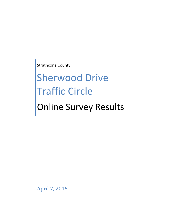Strathcona County

# Sherwood Drive **Traffic Circle** Online Survey Results

April 7, 2015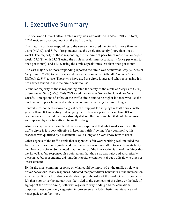# **I. Executive Summary**

The Sherwood Drive Traffic Circle Survey was administered in March 2015. In total, 2,263 residents provided input on the traffic circle.

The majority of those responding to the survey have used the circle for more than ten years (69.3%), and 81% of respondents use the circle frequently (more than once a week). The majority of those responding use the circle at peak times more than once per week (55.2%), with 33.7% using the circle at peak times occasionally (once per week to once per month), and 11.1% using the circle at peak times less than once per month.

The vast majority of those responding reported the circle was Somewhat Easy (23.5%) or Very Easy (57.9%) to use. Few rated the circle Somewhat Difficult (6.6%) or Very Difficult (2.8%) to use. Those who have used the circle longer and who report using it in peak times tended to rate the circle easier to use.

A smaller majority of those responding rated the safety of the circle as Very Safe (30%) or Somewhat Safe (32%). Only 20% rated the circle as Somewhat Unsafe or Very Unsafe. Perceptions of safety of the traffic circle tend to be higher in those who use the circle more in peak hours and in those who have been using the circle longer.

Generally, respondents showed a great deal of support for keeping the traffic circle, with greater than 80% indicating that keeping the circle was a priority. Less than 10% of respondents expressed that they strongly disliked the circle and felt it should be removed and replaced by an alternative intersection design.

Almost everyone who completed the survey expressed that what works well with the traffic circle is it is very effective in keeping traffic flowing. Very commonly, this response was qualified by a statement like "as long as drivers know how to use it".

Other aspects of the traffic circle that respondents felt were working well included the fact that there were no signals, and that the large size of the traffic circle adds to visibility and flow at the circle. Some noted that the safety of the intersection is one of the things that works well. A few responses also pointed out that the circle was quiet and aesthetically pleasing. A few respondents did limit their positive comments about traffic flow to times of lesser demand.

By far the most common response on what could be improved at the traffic circle was driver behaviour. Many responses indicated that poor driver behaviour at the intersection was the result of lack of driver understanding of the rules of the road. Other respondents felt that poor driver behaviour was likely tied to the geometry of the circle or the lack of signage at the traffic circle, both with regards to way finding and for educational purposes. Less commonly suggested improvements included better maintenance and better pedestrian facilities.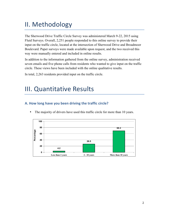# II. Methodology

The Sherwood Drive Traffic Circle Survey was administered March 9-22, 2015 using Fluid Surveys. Overall, 2,251 people responded to this online survey to provide their input on the traffic circle, located at the intersection of Sherwood Drive and Broadmoor Boulevard. Paper surveys were made available upon request, and the two received this way were manually entered and included in online results.

In addition to the information gathered from the online survey, administration received seven emails and five phone calls from residents who wanted to give input on the traffic circle. These views have been included with the online qualitative results.

In total, 2,263 residents provided input on the traffic circle.

# **III. Quantitative Results**

## A. How long have you been driving the traffic circle?



• The majority of drivers have used this traffic circle for more than 10 years.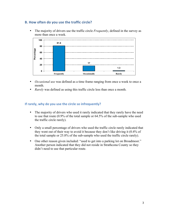### **B.** How often do you use the traffic circle?

• The majority of drivers use the traffic circle *Frequently*, defined in the survey as more than once a week.



- *Occasional use* was defined as a time frame ranging from once a week to once a month.
- *Rarely* was defined as using this traffic circle less than once a month.

#### **If rarely, why do you use the circle so infrequently?**

- The majority of drivers who used it rarely indicated that they rarely have the need to use that route (0.9% of the total sample or 64.5% of the sub-sample who used the traffic circle rarely).
- Only a small percentage of drivers who used the traffic circle rarely indicated that they went out of their way to avoid it because they don't like driving it (0.4% of the total sample or 25.8% of the sub-sample who used the traffic circle rarely).
- One other reason given included: "used to get into a parking lot on Broadmoor." Another person indicated that they did not reside in Strathcona County so they didn't need to use that particular route.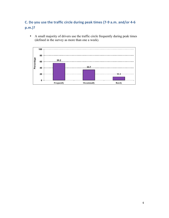# **C.** Do you use the traffic circle during peak times (7-9 a.m. and/or 4-6 **p.m.)?**

• A small majority of drivers use the traffic circle frequently during peak times (defined in the survey as more than one a week).

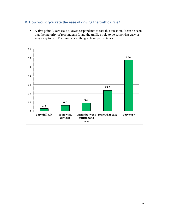### **D.** How would you rate the ease of driving the traffic circle?

• A five point Likert scale allowed respondents to rate this question. It can be seen that the majority of respondents found the traffic circle to be somewhat easy or very easy to use. The numbers in the graph are percentages.

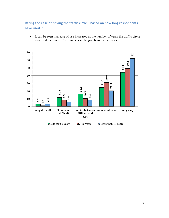## Rating the ease of driving the traffic circle – based on how long respondents have used it

• It can be seen that ease of use increased as the number of years the traffic circle was used increased. The numbers in the graph are percentages.

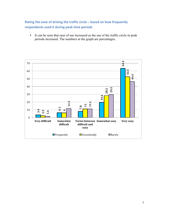# Rating the ease of driving the traffic circle – based on how frequently **respondents used it during peak time periods**

• It can be seen that ease of use increased as the use of the traffic circle in peak periods increased. The numbers in the graph are percentages.

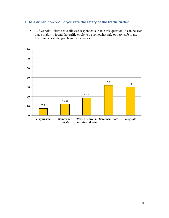# **E.** As a driver, how would you rate the safety of the traffic circle?

• A five point Likert scale allowed respondents to rate this question. It can be seen that a majority found the traffic circle to be somewhat safe or very safe to use. The numbers in the graph are percentages.

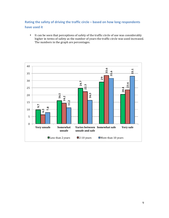# Rating the safety of driving the traffic circle – based on how long respondents have used it

• It can be seen that perceptions of safety of the traffic circle of use was considerably higher in terms of safety as the number of years the traffic circle was used increased. The numbers in the graph are percentages.

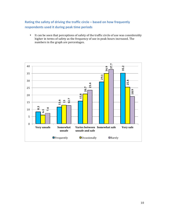# Rating the safety of driving the traffic circle – based on how frequently **respondents used it during peak time periods**

• It can be seen that perceptions of safety of the traffic circle of use was considerably higher in terms of safety as the frequency of use in peak hours increased. The numbers in the graph are percentages.

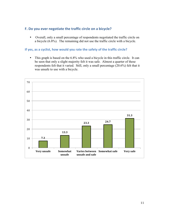#### F. Do you ever negotiate the traffic circle on a bicycle?

• Overall, only a small percentage of respondents negotiated the traffic circle on a bicycle (6.8%). The remaining did not use the traffic circle with a bicycle.

#### **If yes, as a cyclist, how would you rate the safety of the traffic circle?**

• This graph is based on the 6.8% who used a bicycle in this traffic circle. It can be seen that only a slight majority felt it was safe. Almost a quarter of these respondents felt that it varied. Still, only a small percentage (20.6%) felt that it was unsafe to use with a bicycle.

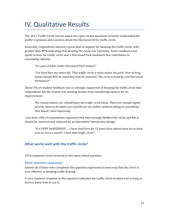# **IV. Qualitative Results**

The 2015 Traffic Circle Survey asked two open-ended questions to better understand the public's opinions and concerns about the Sherwood Drive traffic circle.

Generally, respondents showed a great deal of support for keeping the traffic circle, with greater than 80% indicating that keeping the circle was a priority. Some residents even spoke to how the traffic circle was a Sherwood Park landmark that contributes to community identity.

"It's part of what makes Sherwood Park unique!"

*"I've lived here my entire life. That traffic circle is what makes the park. Poor driving* habits should NOT be rewarded with its removal!! The circle is loved by real Sherwood *Parkians!!!!"*

About  $5\%$  of resident feedback was so strongly supportive of keeping the traffic circle that respondents felt the County was wasting money even considering options for its improvement.

The County Admin, etc, should leave the traffic circle alone. There are enough higher *priority items to be taken care of with our tax dollars without taking on something* that doesn't need *improving*.

Less than 10% of respondents expressed that they strongly disliked the circle and felt it should be removed and replaced by an alternative intersection design.

"It is VERY DANGEROUS! ... I have lived here for 15 years have almost been hit at least *once to twice a week!!! I hate that traffic circle!"* 

#### **What works well with the traffic circle?**

1916 responses were received to this open-ended question.

#### **Most common responses**

Almost all of those who completed this question expressed in some way that the circle is very effective in keeping traffic flowing.

A very common response to this question indicated the traffic circle worked well as long as drivers knew how to use it.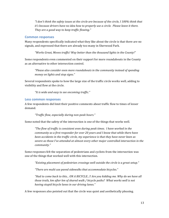"I don't think the safety issues at the circle are because of the circle, I 100% think that *it's* because drivers have no idea how to properly use a circle. Please leave it there. They are a good way to keep traffic flowing."

#### **Common responses**

Many respondents specifically indicated what they like about the circle is that there are no signals, and expressed that there are already too many in Sherwood Park.

"Works Great, Moves traffic! Way better than the thousand lights in the County!"

Some respondents even commented on their support for more roundabouts in the County as an alternative to other intersection control.

*"Please also consider even more roundabouts in the community instead of spending money on lights and stop signs."*

Several respondents spoke to how the large size of the traffic circle works well, adding to visibility and flow at the circle.

"It is wide and easy to see oncoming traffic."

#### Less common responses

A few respondents did limit their positive comments about traffic flow to times of lesser demand.

*"Traffic flow, especially during non-peak hours."*

Some noted that the safety of the intersection is one of the things that works well.

"The flow of traffic is consistent even during peak times. I have worked in the *community* as a first responder for over 20 years and I know that while there have *been accidents in the traffic circle, my experience is that they have never been as* severe as those I've attended at almost every other major controlled intersection in the *community."*

Some responses felt the separation of pedestrians and cyclists from the intersection was one of the things that worked well with this intersection.

*"Existing placement of pedestrian crossings well outside the circle is a great setup."*

"There are multi use paved sidewalks that accommodate bicycles."

"Had to come back to this... ON A BICYCLE...!! Are you kidding me. Why do we have all *those trails, km after km of shared walk / bicycle paths?* What works well is not *having stupid bicycle lanes in our driving lanes."*

A few responses also pointed out that the circle was quiet and aesthetically pleasing.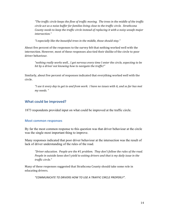*"The traffic circle keeps the flow of traffic moving. The trees in the middle of the traffic* circle act as a noise buffer for families living close to the traffic circle. Strathcona *County needs to keep the traffic circle instead of replacing it with a noisy unsafe major intersection."*

"I especially like the beautiful trees in the middle, those should stay."

About five percent of the responses to the survey felt that nothing worked well with the intersection. However, most of these responses also tied their dislike of the circle to poor driver behaviour.

"nothing really works well... I get nervous every time I enter the circle, expecting to be hit by a driver not knowing how to navigate the traffic!"

Similarly, about five percent of responses indicated that everything worked well with the circle.

"I use it every day to get to and from work. I have no issues with it, and so far has met *my needs. "*

### **What could be improved?**

1873 respondents provided input on what could be improved at the traffic circle.

#### **Most common responses**

By far the most common response to this question was that driver behaviour at the circle was the single most important thing to improve.

Many responses indicated that poor driver behaviour at the intersection was the result of lack of driver understanding of the rules of the road.

*"Driver education. People are the #1 problem. They don't follow the rules of the road.* People in outside lanes don't yield to exiting drivers and that is my daily issue in the *traffic circle."*

Many of these responses suggested that Strathcona County should take some role in educating drivers.

*"COMMUNICATE TO DRIVERS HOW TO USE A TRAFFIC CIRCLE PROPERLY".*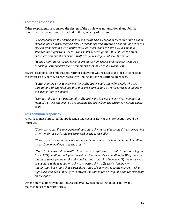#### **Common responses**

Other respondents recognized the design of the circle was not traditional and felt that poor driver behaviour was likely tied to the geometry of the circle.

"The entrance on the north side into the traffic circle is straight in, rather than a slight *curve* in like a normal traffic circle. Drivers not paying attention or unfamiliar with the circle may not realize it's a traffic circle as it seems odd to have a yield sign on a straight line major road. Fix this road so it's not straight in. Make it like the other entrances or more of a "normal" traffic circle where you enter on the curve."

"What a nightmare! It's too large, so promotes high speeds and the entry/exit is so *confusing I can't believe there aren't more crashes. I avoid it when I can."* 

Several responses also felt that poor driver behaviour was related to the lack of signage at the traffic circle, both with regards to way finding and for educational purposes.

*"Better signage prior to entering the traffic circle would allow for people who are unfamiliar* with the road and that they are approaching a Traffic Circle is could get in *the proper lane in advance!"* 

"Signage--this is not a traditional traffic circle and it is not always clear who has the right of way, especially if you are entering the circle from the entrance near the water *tank."*

#### **Less common responses**

A few responses indicated that pedestrian and cyclist safety at the intersection could be improved.

*"The crosswalks. I've seen people almost hit in the crosswalks as the drivers are paying* attention to the circle and are surprised by the crosswalks"

*"The crosswalk is unlit, too close to the circle and a hazard when cyclists go barreling across from one bike path to the other."*

"Yes, I do ride around the traffic circle ... very carefully and actually it's not that big an issue. BUT, heading south (southwest?) on Sherwood Drive heading for Wye, the bail*out* place to get you up on the bike path is unfortunately 100 metres (?) down the road so you have to duke it out with the cars exiting the traffic circle. Maybe my *imagination* but I think that particular stretch of pavement is pretty narrow, with a *high curb, and not a lot of "give" between the cars in the driving lane and the cyclist off on the right."*

Other potential improvements suggested by a few responses included visibility and maintenance at the traffic circle.